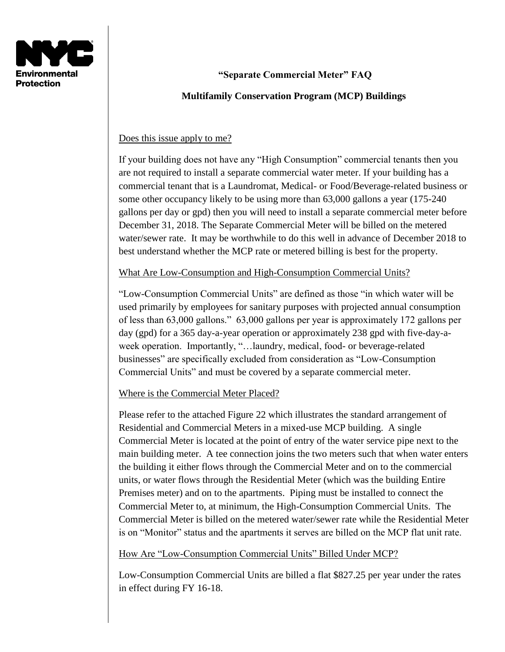

# **"Separate Commercial Meter" FAQ**

### **Multifamily Conservation Program (MCP) Buildings**

#### Does this issue apply to me?

If your building does not have any "High Consumption" commercial tenants then you are not required to install a separate commercial water meter. If your building has a commercial tenant that is a Laundromat, Medical- or Food/Beverage-related business or some other occupancy likely to be using more than 63,000 gallons a year (175-240 gallons per day or gpd) then you will need to install a separate commercial meter before December 31, 2018. The Separate Commercial Meter will be billed on the metered water/sewer rate. It may be worthwhile to do this well in advance of December 2018 to best understand whether the MCP rate or metered billing is best for the property.

What Are Low-Consumption and High-Consumption Commercial Units?

"Low-Consumption Commercial Units" are defined as those "in which water will be used primarily by employees for sanitary purposes with projected annual consumption of less than 63,000 gallons." 63,000 gallons per year is approximately 172 gallons per day (gpd) for a 365 day-a-year operation or approximately 238 gpd with five-day-aweek operation. Importantly, "…laundry, medical, food- or beverage-related businesses" are specifically excluded from consideration as "Low-Consumption Commercial Units" and must be covered by a separate commercial meter.

Where is the Commercial Meter Placed?

Please refer to the attached Figure 22 which illustrates the standard arrangement of Residential and Commercial Meters in a mixed-use MCP building. A single Commercial Meter is located at the point of entry of the water service pipe next to the main building meter. A tee connection joins the two meters such that when water enters the building it either flows through the Commercial Meter and on to the commercial units, or water flows through the Residential Meter (which was the building Entire Premises meter) and on to the apartments. Piping must be installed to connect the Commercial Meter to, at minimum, the High-Consumption Commercial Units. The Commercial Meter is billed on the metered water/sewer rate while the Residential Meter is on "Monitor" status and the apartments it serves are billed on the MCP flat unit rate.

#### How Are "Low-Consumption Commercial Units" Billed Under MCP?

Low-Consumption Commercial Units are billed a flat \$827.25 per year under the rates in effect during FY 16-18.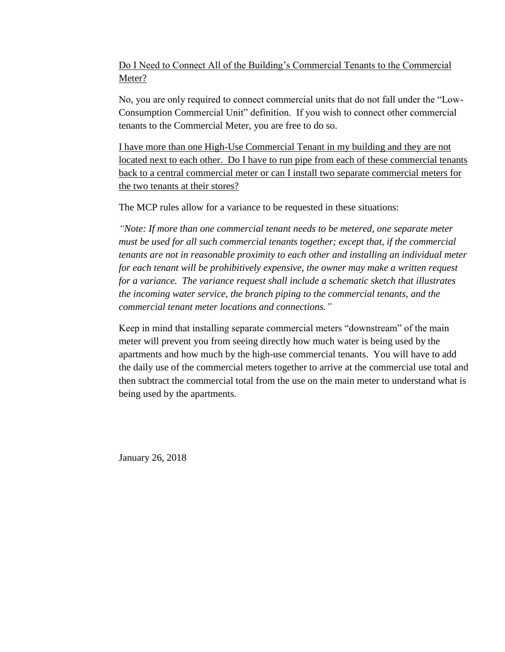## Do I Need to Connect All of the Building's Commercial Tenants to the Commercial Meter?

No, you are only required to connect commercial units that do not fall under the "Low-Consumption Commercial Unit" definition. If you wish to connect other commercial tenants to the Commercial Meter, you are free to do so.

I have more than one High-Use Commercial Tenant in my building and they are not located next to each other. Do I have to run pipe from each of these commercial tenants back to a central commercial meter or can I install two separate commercial meters for the two tenants at their stores?

The MCP rules allow for a variance to be requested in these situations:

*"Note: If more than one commercial tenant needs to be metered, one separate meter must be used for all such commercial tenants together; except that, if the commercial tenants are not in reasonable proximity to each other and installing an individual meter for each tenant will be prohibitively expensive, the owner may make a written request for a variance. The variance request shall include a schematic sketch that illustrates the incoming water service, the branch piping to the commercial tenants, and the commercial tenant meter locations and connections."*

Keep in mind that installing separate commercial meters "downstream" of the main meter will prevent you from seeing directly how much water is being used by the apartments and how much by the high-use commercial tenants. You will have to add the daily use of the commercial meters together to arrive at the commercial use total and then subtract the commercial total from the use on the main meter to understand what is being used by the apartments.

January 26, 2018